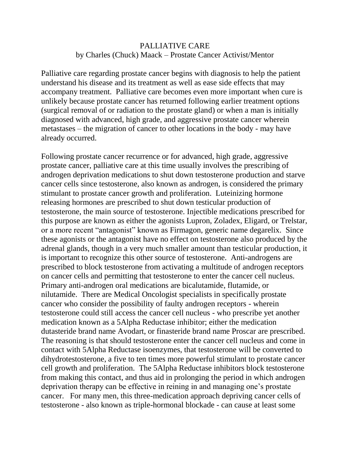## PALLIATIVE CARE by Charles (Chuck) Maack – Prostate Cancer Activist/Mentor

Palliative care regarding prostate cancer begins with diagnosis to help the patient understand his disease and its treatment as well as ease side effects that may accompany treatment. Palliative care becomes even more important when cure is unlikely because prostate cancer has returned following earlier treatment options (surgical removal of or radiation to the prostate gland) or when a man is initially diagnosed with advanced, high grade, and aggressive prostate cancer wherein metastases – the migration of cancer to other locations in the body - may have already occurred.

Following prostate cancer recurrence or for advanced, high grade, aggressive prostate cancer, palliative care at this time usually involves the prescribing of androgen deprivation medications to shut down testosterone production and starve cancer cells since testosterone, also known as androgen, is considered the primary stimulant to prostate cancer growth and proliferation. Luteinizing hormone releasing hormones are prescribed to shut down testicular production of testosterone, the main source of testosterone. Injectible medications prescribed for this purpose are known as either the agonists Lupron, Zoladex, Eligard, or Trelstar, or a more recent "antagonist" known as Firmagon, generic name degarelix. Since these agonists or the antagonist have no effect on testosterone also produced by the adrenal glands, though in a very much smaller amount than testicular production, it is important to recognize this other source of testosterone. Anti-androgens are prescribed to block testosterone from activating a multitude of androgen receptors on cancer cells and permitting that testosterone to enter the cancer cell nucleus. Primary anti-androgen oral medications are bicalutamide, flutamide, or nilutamide. There are Medical Oncologist specialists in specifically prostate cancer who consider the possibility of faulty androgen receptors - wherein testosterone could still access the cancer cell nucleus - who prescribe yet another medication known as a 5Alpha Reductase inhibitor; either the medication dutasteride brand name Avodart, or finasteride brand name Proscar are prescribed. The reasoning is that should testosterone enter the cancer cell nucleus and come in contact with 5Alpha Reductase isoenzymes, that testosterone will be converted to dihydrotestosterone, a five to ten times more powerful stimulant to prostate cancer cell growth and proliferation. The 5Alpha Reductase inhibitors block testosterone from making this contact, and thus aid in prolonging the period in which androgen deprivation therapy can be effective in reining in and managing one's prostate cancer. For many men, this three-medication approach depriving cancer cells of testosterone - also known as triple-hormonal blockade - can cause at least some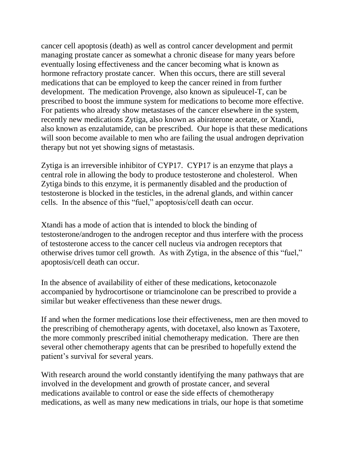cancer cell apoptosis (death) as well as control cancer development and permit managing prostate cancer as somewhat a chronic disease for many years before eventually losing effectiveness and the cancer becoming what is known as hormone refractory prostate cancer. When this occurs, there are still several medications that can be employed to keep the cancer reined in from further development. The medication Provenge, also known as sipuleucel-T, can be prescribed to boost the immune system for medications to become more effective. For patients who already show metastases of the cancer elsewhere in the system, recently new medications Zytiga, also known as abiraterone acetate, or Xtandi, also known as enzalutamide, can be prescribed. Our hope is that these medications will soon become available to men who are failing the usual androgen deprivation therapy but not yet showing signs of metastasis.

Zytiga is an irreversible inhibitor of CYP17. CYP17 is an enzyme that plays a central role in allowing the body to produce testosterone and cholesterol. When Zytiga binds to this enzyme, it is permanently disabled and the production of testosterone is blocked in the testicles, in the adrenal glands, and within cancer cells. In the absence of this "fuel," apoptosis/cell death can occur.

Xtandi has a mode of action that is intended to block the binding of testosterone/androgen to the androgen receptor and thus interfere with the process of testosterone access to the cancer cell nucleus via androgen receptors that otherwise drives tumor cell growth. As with Zytiga, in the absence of this "fuel," apoptosis/cell death can occur.

In the absence of availability of either of these medications, ketoconazole accompanied by hydrocortisone or triamcinolone can be prescribed to provide a similar but weaker effectiveness than these newer drugs.

If and when the former medications lose their effectiveness, men are then moved to the prescribing of chemotherapy agents, with docetaxel, also known as Taxotere, the more commonly prescribed initial chemotherapy medication. There are then several other chemotherapy agents that can be presribed to hopefully extend the patient's survival for several years.

With research around the world constantly identifying the many pathways that are involved in the development and growth of prostate cancer, and several medications available to control or ease the side effects of chemotherapy medications, as well as many new medications in trials, our hope is that sometime